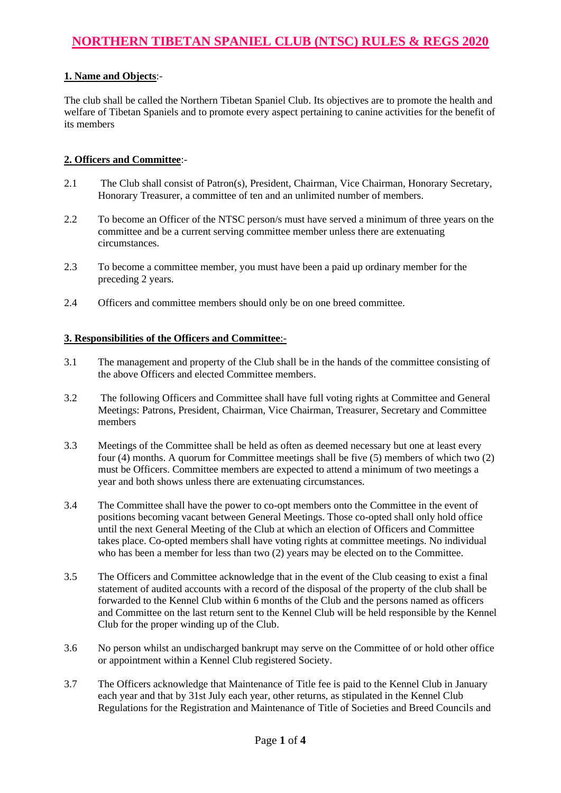# **NORTHERN TIBETAN SPANIEL CLUB (NTSC) RULES & REGS 2020**

### **1. Name and Objects**:-

The club shall be called the Northern Tibetan Spaniel Club. Its objectives are to promote the health and welfare of Tibetan Spaniels and to promote every aspect pertaining to canine activities for the benefit of its members

#### **2. Officers and Committee**:-

- 2.1 The Club shall consist of Patron(s), President*,* Chairman, Vice Chairman, Honorary Secretary, Honorary Treasurer, a committee of ten and an unlimited number of members.
- 2.2 To become an Officer of the NTSC person/s must have served a minimum of three years on the committee and be a current serving committee member unless there are extenuating circumstances.
- 2.3 To become a committee member, you must have been a paid up ordinary member for the preceding 2 years.
- 2.4 Officers and committee members should only be on one breed committee.

#### **3. Responsibilities of the Officers and Committee**:-

- 3.1 The management and property of the Club shall be in the hands of the committee consisting of the above Officers and elected Committee members.
- 3.2 The following Officers and Committee shall have full voting rights at Committee and General Meetings: Patrons, President, Chairman, Vice Chairman, Treasurer, Secretary and Committee members
- 3.3 Meetings of the Committee shall be held as often as deemed necessary but one at least every four (4) months. A quorum for Committee meetings shall be five (5) members of which two (2) must be Officers. Committee members are expected to attend a minimum of two meetings a year and both shows unless there are extenuating circumstances.
- 3.4 The Committee shall have the power to co-opt members onto the Committee in the event of positions becoming vacant between General Meetings. Those co-opted shall only hold office until the next General Meeting of the Club at which an election of Officers and Committee takes place. Co-opted members shall have voting rights at committee meetings. No individual who has been a member for less than two (2) years may be elected on to the Committee.
- 3.5 The Officers and Committee acknowledge that in the event of the Club ceasing to exist a final statement of audited accounts with a record of the disposal of the property of the club shall be forwarded to the Kennel Club within 6 months of the Club and the persons named as officers and Committee on the last return sent to the Kennel Club will be held responsible by the Kennel Club for the proper winding up of the Club.
- 3.6 No person whilst an undischarged bankrupt may serve on the Committee of or hold other office or appointment within a Kennel Club registered Society.
- 3.7 The Officers acknowledge that Maintenance of Title fee is paid to the Kennel Club in January each year and that by 31st July each year, other returns, as stipulated in the Kennel Club Regulations for the Registration and Maintenance of Title of Societies and Breed Councils and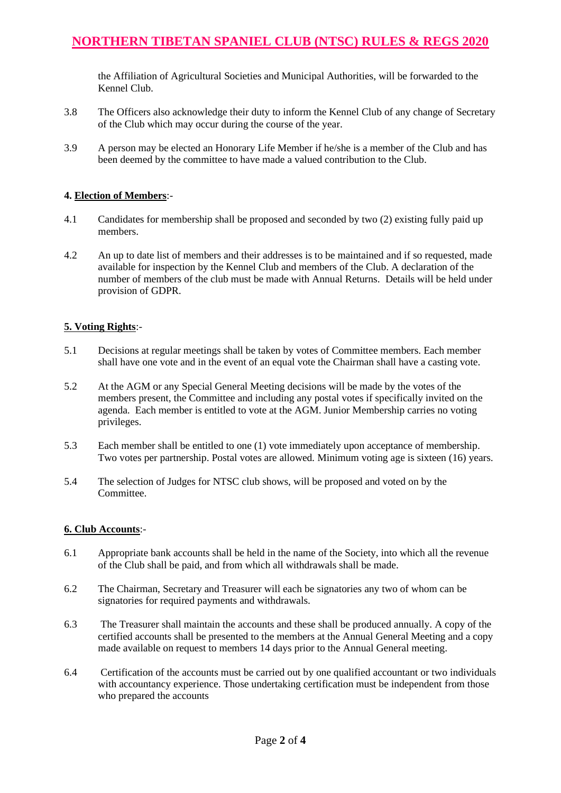# **NORTHERN TIBETAN SPANIEL CLUB (NTSC) RULES & REGS 2020**

the Affiliation of Agricultural Societies and Municipal Authorities, will be forwarded to the Kennel Club.

- 3.8 The Officers also acknowledge their duty to inform the Kennel Club of any change of Secretary of the Club which may occur during the course of the year.
- 3.9 A person may be elected an Honorary Life Member if he/she is a member of the Club and has been deemed by the committee to have made a valued contribution to the Club.

#### **4. Election of Members**:-

- 4.1 Candidates for membership shall be proposed and seconded by two (2) existing fully paid up members.
- 4.2 An up to date list of members and their addresses is to be maintained and if so requested, made available for inspection by the Kennel Club and members of the Club. A declaration of the number of members of the club must be made with Annual Returns. Details will be held under provision of GDPR.

#### **5. Voting Rights**:-

- 5.1 Decisions at regular meetings shall be taken by votes of Committee members. Each member shall have one vote and in the event of an equal vote the Chairman shall have a casting vote.
- 5.2 At the AGM or any Special General Meeting decisions will be made by the votes of the members present, the Committee and including any postal votes if specifically invited on the agenda. Each member is entitled to vote at the AGM. Junior Membership carries no voting privileges.
- 5.3 Each member shall be entitled to one (1) vote immediately upon acceptance of membership. Two votes per partnership. Postal votes are allowed*.* Minimum voting age is sixteen (16) years.
- 5.4 The selection of Judges for NTSC club shows, will be proposed and voted on by the Committee.

#### **6. Club Accounts**:-

- 6.1 Appropriate bank accounts shall be held in the name of the Society, into which all the revenue of the Club shall be paid, and from which all withdrawals shall be made.
- 6.2 The Chairman, Secretary and Treasurer will each be signatories any two of whom can be signatories for required payments and withdrawals.
- 6.3 The Treasurer shall maintain the accounts and these shall be produced annually. A copy of the certified accounts shall be presented to the members at the Annual General Meeting and a copy made available on request to members 14 days prior to the Annual General meeting.
- 6.4 Certification of the accounts must be carried out by one qualified accountant or two individuals with accountancy experience. Those undertaking certification must be independent from those who prepared the accounts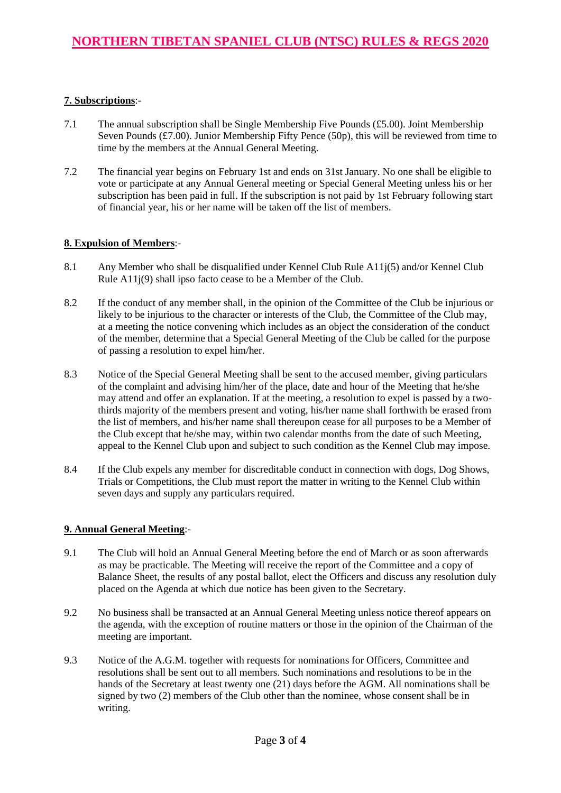### **7. Subscriptions**:-

- 7.1 The annual subscription shall be Single Membership Five Pounds (£5.00). Joint Membership Seven Pounds (£7.00). Junior Membership Fifty Pence (50p), this will be reviewed from time to time by the members at the Annual General Meeting.
- 7.2 The financial year begins on February 1st and ends on 31st January. No one shall be eligible to vote or participate at any Annual General meeting or Special General Meeting unless his or her subscription has been paid in full. If the subscription is not paid by 1st February following start of financial year, his or her name will be taken off the list of members.

#### **8. Expulsion of Members**:-

- 8.1 Any Member who shall be disqualified under Kennel Club Rule A11j(5) and/or Kennel Club Rule A11j(9) shall ipso facto cease to be a Member of the Club.
- 8.2 If the conduct of any member shall, in the opinion of the Committee of the Club be injurious or likely to be injurious to the character or interests of the Club, the Committee of the Club may, at a meeting the notice convening which includes as an object the consideration of the conduct of the member, determine that a Special General Meeting of the Club be called for the purpose of passing a resolution to expel him/her.
- 8.3 Notice of the Special General Meeting shall be sent to the accused member, giving particulars of the complaint and advising him/her of the place, date and hour of the Meeting that he/she may attend and offer an explanation. If at the meeting, a resolution to expel is passed by a twothirds majority of the members present and voting, his/her name shall forthwith be erased from the list of members, and his/her name shall thereupon cease for all purposes to be a Member of the Club except that he/she may, within two calendar months from the date of such Meeting, appeal to the Kennel Club upon and subject to such condition as the Kennel Club may impose.
- 8.4 If the Club expels any member for discreditable conduct in connection with dogs, Dog Shows, Trials or Competitions, the Club must report the matter in writing to the Kennel Club within seven days and supply any particulars required.

## **9. Annual General Meeting**:-

- 9.1 The Club will hold an Annual General Meeting before the end of March or as soon afterwards as may be practicable. The Meeting will receive the report of the Committee and a copy of Balance Sheet, the results of any postal ballot, elect the Officers and discuss any resolution duly placed on the Agenda at which due notice has been given to the Secretary.
- 9.2 No business shall be transacted at an Annual General Meeting unless notice thereof appears on the agenda, with the exception of routine matters or those in the opinion of the Chairman of the meeting are important.
- 9.3 Notice of the A.G.M. together with requests for nominations for Officers, Committee and resolutions shall be sent out to all members. Such nominations and resolutions to be in the hands of the Secretary at least twenty one (21) days before the AGM. All nominations shall be signed by two (2) members of the Club other than the nominee, whose consent shall be in writing.